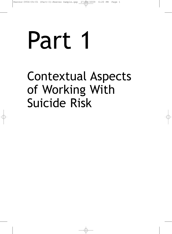# Part 1

## Contextual Aspects of Working With Suicide Risk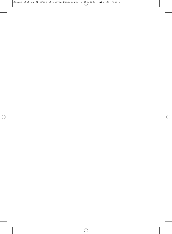$\oplus$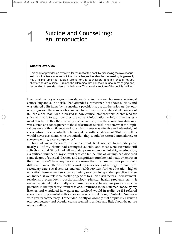### Suicide and Counselling: an Introduction

#### **Chapter overview**

This chapter provides an overview for the rest of the book by discussing the role of counsellors with clients who are suicidal. It challenges the idea that counselling is generally not a helpful option for suicidal clients, or that counsellors generally should not see clients who are suicidal. It raises the dilemmas that counsellors face in managing and responding to suicide potential in their work.The overall structure of the book is outlined.

I can recall many years ago, when still early on in my research journey, looking at counselling and suicide risk. I had attended a conference (not about suicide), and was offered a lift home by a consultant psychiatrist psychotherapist. As the journey progressed the conversation moved to my research, and she asked more about it. I explained that I was interested in how counsellors work with clients who are suicidal; that is to say, how they use current information to inform their assessment of risk, whether they formally assess risk at all, how the counselling discourse was altered as a consequence of the disclosure of suicidal ideation, what the implications were of this influence, and so on. My listener was attentive and interested, but also confused. She eventually interrupted me with her statement, 'But counsellors would never see clients who are suicidal, they would be referred immediately to someone with greater competency.'

This made me reflect on my past and current client caseload. In secondary care nearly all of my clients had attempted suicide, and most were currently still actively suicidal. Since I had left secondary care and moved into higher education, a significant number of my current caseload (at the time of writing) had disclosed some degree of suicidal ideation, and a significant number had made attempts on their life. I didn't have any reason to assume that my caseload was particularly different to most other counsellors working in a variety of settings: primary care, secondary care, social services, mental health services, further education, higher education, bereavement services, voluntary services, independent practice, and so on. Indeed, if we relate counselling agencies to suicide risk factors – bereavement, relationship breakdown, psychopathology, physical health problems etc. – it seemed a fair bet that virtually all counsellors would have some profile of suicide potential in their past or current caseload. I returned to the statement made by my listener, and wondered how quiet my caseload would in reality be if I referred everyone who presented with some degree of suicidal thought/intent to 'someone with greater competency'. I concluded, rightly or wrongly, that despite my listener's own competency and experience, she seemed to understand little about the nature of counselling.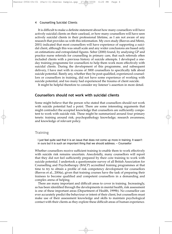It is difficult to make a definite statement about how many counsellors will have actively suicidal clients on their caseload, or how many counsellors will have seen actively suicidal clients in their professional lifetime, as I am not aware of any research that provides us with this information. My own study (Reeves and Mintz, 2001) indicated that most counsellors will have experience of supporting a suicidal client, although this was small scale and any wider conclusions are based only on estimations and extrapolated figures. Seber (2000) found, by analysing GP and practice nurse referrals for counselling in primary care, that such referrals often included clients with a previous history of suicide attempts. I developed a oneday training programme for counsellors to help them work more effectively with suicidal clients. During the development of this programme, and subsequent delivery, I have met with in excess of 3000 counsellors to specifically talk about suicide potential. Barely any, whether they be post-qualified, experienced counsellors or counsellors in training, did not have some experience of working with suicide potential, and too many had experienced the trauma of client suicide.

It might be helpful therefore to consider my listener's assertion in more detail.

#### **Counsellors should not work with suicidal clients**

Some might believe that the person who stated that counsellors should not work with suicide potential had a point. There are some interesting arguments that might contradict the accepted knowledge that counsellors are sufficiently competent to work with suicide risk. These might be summarized around four primary tenets: training around risk; psychopathology knowledge; research awareness; and knowledge of relevant policy.

#### **Training**

I just feel quite sad that it is an issue that does not come up more in training. It wasn't in ours but it is such an important thing that we should address. – Counsellor

Whether counsellors receive sufficient training to enable them to work effectively with suicide risk remains uncertain. Anecdotally, many counsellors will report that they did not feel sufficiently prepared by their core training to work with suicide potential. I undertook a questionnaire survey of all British Association for Counselling and Psychotherapy (BACP) accredited training programmes at that time to try to obtain a profile of risk competency development for counsellors (Reeves et al., 2004a), given that training courses have the task of preparing their trainees to become qualified and competent counsellors in a demanding and complex arena of helping.

There are many important and difficult areas to cover in training. Increasingly, as has been identified through the developments in mental health, risk assessment is one of these important areas (Department of Health, 1999b). No counsellor can ever accurately predict the behaviour or intent of their client, but counsellors must make use of their assessment knowledge and skills to maintain psychological contact with their clients as they explore these difficult areas of human experience.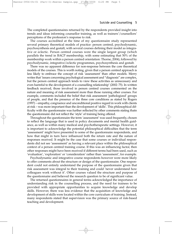The completed questionnaires returned by the respondents provided insight into trends and ideas informing counsellor training, as well as trainers'/counsellors' perceptions of the profession's response to risk.

Reeves-3956-Ch-01 (Part-I):Reeves Sample.qxp  $27/0.8$  2009

The courses accredited at the time of my questionnaire study represented several primary theoretical models of practice: person centred, psychodynamic, psychosynthesis and gestalt, with several courses defining their model as integrative or eclectic. Person centred courses were the single largest group (which parallels the trend in BACP membership, with some estimating that 50% of the membership work within a person centred orientation: Thorne, 2004), followed by psychodynamic, integrative/eclectic programmes, psychosynthesis and gestalt.

There was no apparent difference for non-response between the core theoretical models of the courses. This is worth noting, given that a person centred approach is less likely to embrace the concept of risk 'assessment' than other models. Merry writes that 'issues concerning psychological assessment and "diagnosis" are complex, but the person centred approach tends to view these activities as unnecessary and even harmful to the development of a counselling relationship' (2002: 75). In written feedback received, those involved in person centred courses commented on the nature and meaning of risk assessment more than those running other courses. For example, comments included the belief that risk assessment 'pathologized' groups of people, and that the presence of the three core conditions as stated by Rogers (1997) – empathy, congruence and unconditional positive regard in work with clients at risk – was more important than the development of 'skills'. This philosophical difficulty with the questionnaire was further reflected by other comments stating thatn the questionnaire did not reflect the 'style' of training being offered.

Throughout the questionnaire the term 'assessment' was used frequently, chosen to reflect the language that is used in policy documents and mental health guidance, as well as within many medical and psychotherapeutic settings. However, it is important to acknowledge the potential philosophical difficulties that the term 'assessment' might have presented to some of the questionnaire respondents, and how that might in turn have influenced both the return rate and the nature of responses received. It might be the case that some courses or individual respondents did not see 'assessment' as having a relevant place within the philosophical context of a person centred training course. If this was an influencing factor, then other responses might have been received if different terms had been used, such as 'evaluation', 'exploration' or 'consideration' rather than 'assessment', for example.

Psychodynamic and integrative course respondents however were more likely to offer comments about the structure or design of the questionnaire. One respondent could not entirely understand the purpose of the questionnaire given that risk assessment was integral to their training and could 'never understand how colleagues work without it'. Other courses valued the structure and purpose of the questionnaire and believed the research question to be of significant value.

The returned questionnaires in general terms acknowledged the importance of understanding risk in the counselling process, and the need for trainees to be provided with appropriate opportunities to acquire knowledge and develop skills. However, there was less evidence that the acquisition of knowledge and development of skills were located within the core curriculum of training. Instead, many respondents stated that supervision was the primary source of risk-based teaching and development.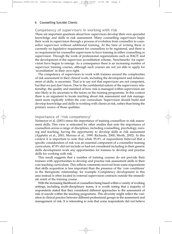#### **Competency of supervisors in working with risk**

There are important questions about how supervisors develop their own specialist knowledge and skills in risk assessment. Many counselling supervisors begin their work in supervision through a process of evolution from counsellor to counsellor supervisor without additional training. At the time of writing there is currently no legislative requirement for counsellors to be registered, and there is no requirement for counsellor supervisors to have training in either counselling or supervision. Through the work of professional organizations such as BACP, and the development of the supervisor accreditation scheme, 'benchmarks' for supervision have begun to emerge. As a consequence there is an increasing number of supervisor training courses, although such courses are not yet able to apply for 'accreditation' in their own right.

The competency of supervisors to work with trainees around the complexities of risk assessment in their clinical work, including the development and enhancement of skills, is uncertain. That is to say not that supervisors are not competent, but that we just don't know. Due to the confidential nature of the supervisory relationship, the quality and standard of how risk is managed within supervision are also likely to be uncertain to the tutors on the training programme. In this context there is an argument to locate teaching about risk assessment and risk management more explicitly within the core curriculum. Supervision should build and develop knowledge and skills in working with clients at risk, rather than being the primary source of those qualities.

#### **Importance of 'risk competency'**

Neimeyer et al. (2001) stress the importance of training counsellors in risk assessment skills. This view is reiterated by other studies that note the importance of counsellors across a range of disciplines, including counselling, psychology, nursing and teaching, having the opportunity to develop skills in risk assessment (Appleby et al., 2001; Morriss et al., 1999; Richards, 2000; Werth, 2002). In this context it is important to note that while 95.8% of respondents believed that a specific consideration of risk was an essential component of a counsellor training curriculum, 47.8% did not include or had not considered including in their generic skills development work any opportunities for trainees to develop and practise skills for working with risk.

This result suggests that a number of training courses do not provide their trainees with opportunities to develop and practise risk assessment skills in their core teaching curriculum. This reflects comments received from some respondents that skills acquisition is less important than the presence of the 'core conditions' in the therapeutic relationship, for example. Competency development in this area instead is often located in external supervision contracts outside the immediate remit of the training course.

With the increasing likelihood of counsellors being based within a variety of working settings, including multi-disciplinary teams, it is worth noting that a majority of respondents stated that they considered different approaches to the assessment of risk of suicide within the teaching programme. This diversity might reflect the variation in clinical practice between different professional groups in the assessment and management of risk. It is interesting to note that some respondents did not believe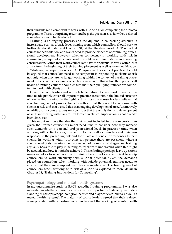their students were competent to work with suicide risk on completing the diploma programme. This is a surprising result, and begs the question as to how they believed competency was to be developed.

Reeves-3956-Ch-01 (Part-I):Reeves Sample.qxp 27/08/2009

Learning is an ongoing process, and the diploma in counselling structure is increasingly seen as a basic level training from which counsellors should seek to further develop (Dryden and Thorne, 1991). Within the structure of BACP individual counsellor accreditation, applicants need to provide evidence of continuing professional development. However, whether competency in working with risk in counselling is required at a basic level or could be acquired later is an interesting consideration. Within their work, counsellors have the potential to work with clients at risk from the beginning of their training placement as well as from qualification.

While regular supervision is a BACP requirement for ethical practice, it could be argued that counsellors need to be competent in responding to clients at risk not only when they are no longer working within the context of a training placement but also at the beginning of such a placement. If this is true then perhaps all heads of training courses should ensure that their qualifying trainees are competent to work with clients at risk.

Given the complexities and unpredictable nature of client work, there is little time to adequately cover all important practice areas within the limited structure of counselling training. In the light of this, possibly course leaders believe that core training cannot provide trainees with all that they need for working with clients at risk, and that instead this is an ongoing developmental area. Alternatively or additionally, course leaders may consider that the acquisition and development of skills in working with risk are best located in clinical supervision, as has already been discussed.

This might reinforce the idea that risk is best included in the core curriculum given that trainee counsellors might need time to consider how they manage such demands on a personal and professional level. In practice terms, when working with a client at risk, it is helpful for counsellors to understand their own responses to the presenting risk and formulate a rationale for responses to their clients. In working within our own competence there are occasions where a client's level of risk requires the involvement of more specialist agencies. Training arguably has a role to play in helping counsellors to understand when this might be needed, and how it might be achieved. These findings perhaps leave questions unanswered as to whether current training benchmarks are sufficient to equip counsellors to work effectively with suicidal potential. Given the demands placed on counsellors when working with suicide potential, training needs to ensure that they are equipped with basic competencies. The training need of counsellors when working with risk of suicide is explored in more detail in Chapter 18, 'Training Implications for Counselling'.

#### **Psychopathology and mental health systems**

In my questionnaire study of BACP accredited training programmes, I was also interested in whether counsellors were given an opportunity to develop an understanding of basic psychopathological theories and diagnostic structures, as well as mental health 'systems'. The majority of course leaders agreed that their trainees were provided with opportunities to understand the working of mental health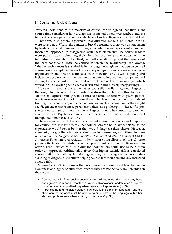'systems'. Additionally, the majority of course leaders agreed that they spent course time considering how a diagnosis of mental illness was reached and the implications on a personal and societal level of such a diagnosis on an individual.

There was also general agreement that different 'models' of 'mental health' were considered. Within the context of broad agreement, there was disagreement by leaders of a small number of courses, all of whom were person centred in their theoretical approach. In disagreeing with these statements, the course leaders were perhaps again reiterating their view that the therapeutic process with an individual is more about the client/counsellor relationship, and the presence of the 'core conditions', than the context in which the relationship was located. Whether such a focus is sustainable in the longer term, given that person centred counsellors are employed to work in a variety of organizations, is uncertain. Some organizations and practice settings, such as in health care, as well as policy and legislative developments, may demand that counsellors are both competent and willing to practise with a broad and relevant mental health knowledge, which would include working with clients at risk and in multi-disciplinary settings.

However, it remains unclear whether counsellors fully integrated diagnostic thinking into their work. It is important to stress that in terms of this discussion, 'counsellors' is probably too generic a term, and that the extent to which psychopathology is seen as relevant or not is more likely to be determined by the core model of training. For example, cognitive behavioural or psychodynamic counsellors might see diagnostic terms as more pertinent to their core philosophy, whereas for person centred counsellors the principle of diagnosis would be contradictory to their core principles: 'Psychiatric diagnosis is of no issue in client-centred theory and therapy' (Sommerbeck, 2003: 33).

There are some useful discussions to be had around the relevance of diagnosis for counsellors. It is true to say that counsellors are not diagnosticians, so the expectation would never be that they would diagnose their clients. However, some might argue that diagnostic structures in themselves, as outlined in manuals such as the *Diagnostic and Statistical Manual of Mental Disorders* (DSM-IV: American Psychiatric Association, 1994), offer counsellors much insight into personality types. Certainly for working with suicidal clients, diagnoses can offer a useful structure of thinking that counsellors could use to help them order an approach. Additionally, given that higher suicide risk is correlated across pretty much all psychopathological diagnostic categories, a basic understanding of diagnosis is useful in helping counsellors to understand any increased suicide risk.

Sommerbeck (2003) discusses the importance of counsellors at least having an awareness of diagnostic structures, even if they are not actively implemented in their work:

- Counsellors will often receive questions from clients about diagnoses they have been given: 'It is important that the therapist is able to accommodate such a request for information in a qualified way when he deems it appropriate' (p. 33).
- In psychiatric and medical settings, diagnosis is the dominant language, 'and the client centred therapist must be able to communicate in the language with other staff and professionals when working in this culture' (p. 33).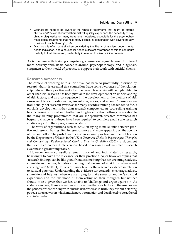- Counsellors need to be aware of the range of treatments that might be offered clients, and 'the client centred therapist will quickly experience the necessity of psychiatric diagnostics for many treatment modalities, especially for the psychopharmacological treatments that help many clients, in combination with psychotherapy, or without psychotherapy' (p. 34).
- Diagnosis is often central when considering the liberty of a client under mental health legislation, and a counsellor needs sufficient awareness of this to contribute usefully to that discussion, particularly in relation to client suicide potential.

As is the case with training competency, counsellors arguably need to interact more actively with basic concepts around psychopathology and diagnosis, congruent to their model of practice, to support their work with suicidal clients.

#### **Research awareness**

The context of working with suicide risk has been so profoundly informed by research that it is essential that counsellors have some awareness of the relationship between their practice and what the research says. As will be highlighted in other chapters, research has been pivotal in the development of an understanding of risk factors, and as a consequence in the development of the plethora of risk assessment tools, questionnaires, inventories, scales, and so on. Counsellors are traditionally not research aware, as for many decades training has tended to focus on skills development rather than research competency. As counselling training has increasingly moved into further and higher education settings, in addition to the many training programmes that are independent, research awareness has begun to change as trainees have been required to complete small scale research studies as part of their programme of study.

The work of organizations such as BACP in trying to make links between practice and research has resulted in research more and more appearing on the agenda of the counsellor. The push towards evidence-based practice, and the publication by the Department of Health in the UK of *Treatment Choice in Psychological Therapies and Counselling: Evidence-Based Clinical Practice Guideline* (2001), a document that identified preferred interventions based on research evidence, made research awareness a greater imperative.

However, many counsellors remain wary of and intimidated by research, believing it to have little relevance for their practice. Cooper however argues that 'research findings can be like good friends: something that can encourage, advise, stimulate and help us, but also something that we are not afraid to challenge and argue against' (2008: 1). This is certainly true for the research evidence in relation to suicidal potential. Understanding the evidence can certainly 'encourage, advise, stimulate and help us' when we are trying to make sense of another's suicidal experience, and the likelihood of them acting on their thoughts, but neither should it be a given that we feel unable to 'challenge and argue against' it. As stated elsewhere, there is a tendency to presume that risk factors in themselves are the panacea when working with suicide risk, whereas in truth they are but a starting point, a context, within which much more information and detail need to be gathered and interpreted.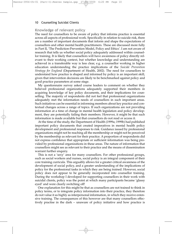#### **Knowledge of relevant policy**

The need for counsellors to be aware of policy that informs practice is essential across all aspects of professional work. Specifically in relation to suicide risk, there are a number of important documents that inform and shape the expectations of counsellors and other mental health practitioners. These are discussed more fully in Part II, 'The Prediction-Prevention Model, Policy and Ethics'. I am not aware of research that tells us whether social policy adequately addressed within counsellor training. It is likely that counsellors will have awareness of policy directly relevant to their working context, but whether knowledge and understanding are achieved in a transferable way is less clear, e.g. a counsellor working in higher education understanding the practice implications of the *Suicide Prevention Strategy for England* (Department of Health, 2002). The need for counsellors to understand how practice is shaped and informed by policy is an important skill, given that intervention decisions are likely to be benchmarked against policy and good practice parameters at some stage.

My questionnaire survey asked course leaders to comment on whether they believed professional organizations adequately supported their members in acquiring knowledge of key policy documents, and their implications for counselling. The majority of respondents did not feel that professional organizations adequately met the information needs of counsellors in such important areas. Such initiatives can be essential in informing members about key practice and contextual changes across a range of topics. If such organizations are not providing information at a time of change in mental health legislation and policy development, they are potentially failing their members. However, it might be that such information is made available but that counsellors do not read or access it.

At the time of the study, the Department of Health (1999a; 1999b) had published important policy documents that created imperatives in mental health policy development and professional responses to risk. Guidance issued by professional organizations might not be reaching all the membership or might not be perceived by the membership as relevant for their practice. A proportion of respondents did not express confidence that appropriate or sufficient information was being provided by professional organizations in these areas. The nature of information that counsellors might see as relevant to their practice and the means of dissemination warrant further enquiry.

This is not a 'sexy' area for many counsellors. For other professional groups, such as social workers and nurses, social policy is an integral component of their core training curricula. This arguably allows for a greater critical awareness of the development of social policy, and a greater understanding of the implications of policy for the professional tasks in which they are being trained. However, social policy does not appear to be generally incorporated into counsellor training. During the workshop I developed for supporting counsellors in their work with suicidal clients, policy was the point at which many participants became 'glassy eyed' and were clearly switching off!

One explanation for this might be that as counsellors are not trained to think in policy terms, or to integrate policy information into their practice, they therefore do not value it as highly as interpersonal information, in which they receive extensive training. The consequences of this however are that many counsellors effectively practise in the dark – unaware of policy initiative and how practice is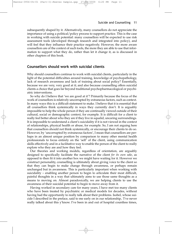subsequently shaped by it. Alternatively, many counsellors do not appreciate the importance of using a political/policy process to support practice. This is the case in working with suicide potential: many counsellors will be expected to use risk assessment tools (developed through research and integrated into policy), and will feel that they influence their practice negatively. However, the more aware counsellors are of the context of such tools, the more they are able to use that information to support what they do, rather than let it change it, as is discussed in other chapters of this book.

#### **Counsellors should work with suicidal clients**

Reeves-3956-Ch-01 (Part-I):Reeves Sample.qxp 27/08/2009

Why should counsellors continue to work with suicidal clients, particularly in the light of the potential difficulties around training, knowledge of psychopathology, lack of research awareness and lack of training about social policy? Essentially, because we are very, very good at it; and also because counselling offers suicidal clients a choice that goes far beyond traditional psychopharmacological or psychiatric interventions.

So why do I believe that 'we are good at it'? Primarily because the focus of the work of counsellors is relatively uncorrupted by extraneous factors, such as context. In many ways this is a difficult statement to make. I believe that it is essential that all counsellors think systemically in ways they currently don't. It is arguably impossible to help the whole person if they are continually viewed outside of their cultural, social or demographic context, for example. It is difficult for a client to really feel better about who they are if they live in squalid, uncaring surroundings. It is impossible to understand a client's suicidality if it is not viewed in the context of relationships, physical health or abuse, for example. So, I am not arguing here that counsellors should not think systemically, or encourage their clients to do so. However, by 'uncorrupted by extraneous factors', I mean that counsellors are perhaps in an almost unique position by comparison to many other mental health professionals to focus entirely on the 'self' of the client, using communication skills effectively and in a facilitative way to enable the person of the client to really explore who they are and how they feel.

Our theories and working models, regardless of orientation, are arguably designed to specifically facilitate the narrative of the client *for its own sake*, as opposed to then fit it into another box we might have waiting for it. However we construct personality, counselling is ultimately about giving voice to the client so that they can begin to make change through awareness, or perhaps remain unchanged but in awareness. This is particularly important when working with suicidality – enabling another person to begin to articulate their most difficult, painful thoughts in a way that ultimately aims to use those same thoughts as a means to moving on. Almost paradoxically, we are helping clients to use the awareness of their suicidal potential to begin to move away from it.

Having worked in secondary care for many years, I have met too many clients who have been treated by psychiatric or medical models for decades, without having had the opportunity to really talk about their problems. Isobel, whose suicide I described in the preface, said to me early on in our relationship, *'*I've never really talked about this y'know. I've been in and out of hospital countless times,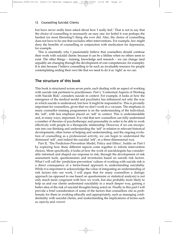but have never really been asked about how I really feel.' That is not to say that the choice of counselling is necessarily an easy one: for Isobel it was perhaps the hardest (or most liberating?) thing she ever did. Also, the choice of counselling does not have to be one that excludes other interventions. For example, few might deny the benefits of counselling in conjunction with medication for depression, for example.

This is essentially why I passionately believe that counsellors should continue their work with suicidal clients: because it can be a lifeline when no others seem to exist. The other things – training, knowledge and research – we can change (and arguably are changing through the development of core competencies, for example). It is also because I believe counselling to be such an invaluable resource for people contemplating ending their own life that we need to do it as 'right' as we can.

#### **The structure of this book**

This book is structured across seven parts, each dealing with an aspect of working with suicide risk pertinent to practitioners. Part I, 'Contextual Aspects of Working with Suicide Risk', considers suicide in context. For example, it looks at how the emergence of the medical model and psychiatry has influenced not only the way in which suicide is understood, but how it might be responded to. This is pivotally important for counsellors, given that we don't work in a vacuum. The emphasis in many counsellor training programmes is on the understanding of the individual, the 'self', with less emphasis placed on 'self' in context. This is understandable and, in many ways, important. It is vital that new counsellors can fully understand a number of theories of psychotherapy and personality in order to be able to work effectively with people in a therapeutic relationship. However, if we can incorporate into our thinking and understanding the 'self' in relation to relevant historical developments, other forms of helping and understanding, and the ongoing evolution of counselling as a professional activity, we can begin to understand the distressed 'self', and indeed the suicidal 'self', in a three-dimensional way.

Part II, 'The Prediction-Prevention Model, Policy and Ethics', builds on Part I by exploring how these different aspects come together to inform intervention choices. More specifically, it looks at how the work of suicidologists has considerably informed and shaped our response to risk, through the development of risk assessment tools, questionnaires and inventories based on suicide risk factors. What I will call the 'prediction-prevention' culture of working with suicide risk is a direct consequence of a factor-based approach to understanding suicidality. While it is important to acknowledge the value of integrating an understanding of risk factors into our work, I will argue that for many counsellors a dialogic approach (as opposed to one based on questionnaire or statistical analysis) is not only much more congruent with how we work, but also probably more likely to help us and our clients understand suicidality in a much deeper way, gaining a better idea of the risk of suicidal thoughts being acted on. Finally in this part I will provide a brief consideration of some of the factors that counsellors cite as problematic for them in working ethically and appropriately, such as managing confidentiality with suicidal clients, and understanding the implications of terms such as *capacity* and *consent*.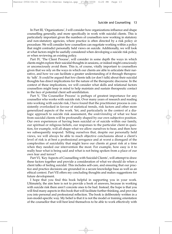#### Reeves-3956-Ch-01 (Part-I):Reeves Sample.qxp  $27/0.8$  2009

#### Suicide and Counselling 13

In Part III, 'Organizations', I will consider how organizations influence and shape counselling generally, and more specifically in work with suicidal clients. This is particularly important given the numbers of counsellors now working in statutory and non-statutory agencies, where practice is often directed by a risk policy or procedure. We will consider how counsellors can negotiate working within a policy that might contradict personally held views on suicide. Additionally, we will look at what factors might be usefully considered when developing a suicide risk policy, or when reviewing an existing policy.

Part IV, 'The Client Process', will consider in some depth the ways in which clients might explore their suicidal thoughts in sessions, or indeed might consciously or unconsciously avoid them. This is, of course, vitally important to counsellors given that we rely on the ways in which our clients are able to articulate their narrative, and how we can facilitate a greater understanding of it through therapeutic 'talk'. It could be argued that *how* clients talk (or don't talk) about their suicidal thoughts has direct implications for the nature of the therapeutic discourse. In the context of these implications, we will consider what skills and relational factors counsellors might keep in mind to help maintain and sustain therapeutic contact in the face of potential client self-annihilation.

Part V, 'The Counsellor Process' is perhaps of greatest importance for any counsellor who works with suicide risk. Over many years of research and reading into working with suicide risk, I have found that the practitioner process is consistently overlooked in favour of statistical trends, risk factors and other more generalized aspects of the work. Yet, and particularly in the context of a dialogic approach to suicide risk assessment, the *understanding* of what we hear from suicidal clients will be profoundly shaped by our own subjective position. Our own experiences of having been suicidal or of suicide within our family, our spiritual or religious beliefs, our responses to the particular client in question, for example, will all shape what we allow ourselves to hear, and then how we subsequently respond. Telling ourselves that, despite our personally held views, we will always be able to reach objective conclusions about a client's level of risk is at best a professional arrogance and at worst a disregard of the complexities of suicidality that might leave our clients at great risk at a time when they needed our intervention the most. For example, how easy is it to really hear what is being said and what is not being spoken from a place of our own fear and terror?

Part VI, 'Key Aspects of Counselling with Suicidal Clients', will attempt to draw these factors together and provide a consideration of what we should do when a client talks of feeling suicidal. This includes self-care, and ensuring that our practice and practice decisions are grounded in a secure knowledge base as well as an ethical context. Part VII offers my concluding thoughts and makes suggestions for future development.

I hope that you find this book helpful in supporting you in your work. Ultimately, the aim here is not to provide a book of answers, because in working with suicide risk there aren't concrete ones to be had. Instead, the hope is that you will find many aspects in this book that will facilitate further thinking, and provoke you into personal and professional reflection. The book is deliberately written in a non-model-specific way. My belief is that it is not the model or training orientation of the counsellor that will best lend themselves to be able to work effectively with